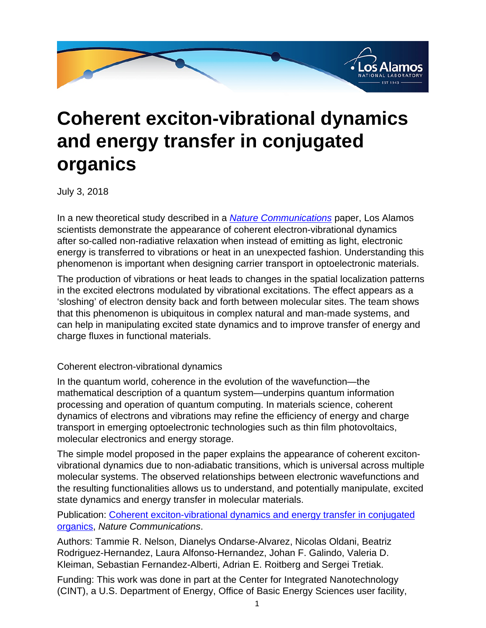

## **Coherent exciton-vibrational dynamics and energy transfer in conjugated organics**

July 3, 2018

In a new theoretical study described in a **[Nature Communications](
					https://www.nature.com/articles/s41467-018-04694-8#Ack1)** paper, Los Alamos scientists demonstrate the appearance of coherent electron-vibrational dynamics after so-called non-radiative relaxation when instead of emitting as light, electronic energy is transferred to vibrations or heat in an unexpected fashion. Understanding this phenomenon is important when designing carrier transport in optoelectronic materials.

The production of vibrations or heat leads to changes in the spatial localization patterns in the excited electrons modulated by vibrational excitations. The effect appears as a 'sloshing' of electron density back and forth between molecular sites. The team shows that this phenomenon is ubiquitous in complex natural and man-made systems, and can help in manipulating excited state dynamics and to improve transfer of energy and charge fluxes in functional materials.

## Coherent electron-vibrational dynamics

In the quantum world, coherence in the evolution of the wavefunction—the mathematical description of a quantum system—underpins quantum information processing and operation of quantum computing. In materials science, coherent dynamics of electrons and vibrations may refine the efficiency of energy and charge transport in emerging optoelectronic technologies such as thin film photovoltaics, molecular electronics and energy storage.

The simple model proposed in the paper explains the appearance of coherent excitonvibrational dynamics due to non-adiabatic transitions, which is universal across multiple molecular systems. The observed relationships between electronic wavefunctions and the resulting functionalities allows us to understand, and potentially manipulate, excited state dynamics and energy transfer in molecular materials.

Publication: [Coherent exciton-vibrational dynamics and energy transfer in conjugated](
					https://www.nature.com/articles/s41467-018-04694-8) [organics](
					https://www.nature.com/articles/s41467-018-04694-8), Nature Communications.

Authors: Tammie R. Nelson, Dianelys Ondarse-Alvarez, Nicolas Oldani, Beatriz Rodriguez-Hernandez, Laura Alfonso-Hernandez, Johan F. Galindo, Valeria D. Kleiman, Sebastian Fernandez-Alberti, Adrian E. Roitberg and Sergei Tretiak.

Funding: This work was done in part at the Center for Integrated Nanotechnology (CINT), a U.S. Department of Energy, Office of Basic Energy Sciences user facility,